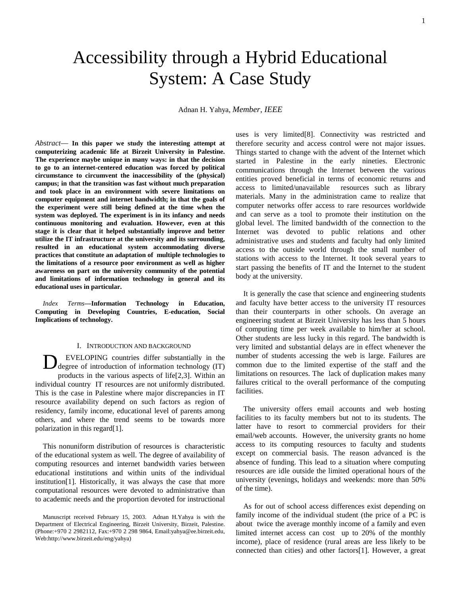# Accessibility through a Hybrid Educational System: A Case Study

Adnan H. Yahya, *Member, IEEE*

*Abstract*— **In this paper we study the interesting attempt at computerizing academic life at Birzeit University in Palestine. The experience maybe unique in many ways: in that the decision to go to an internet-centered education was forced by political circumstance to circumvent the inaccessibility of the (physical) campus; in that the transition was fast without much preparation and took place in an environment with severe limitations on computer equipment and internet bandwidth; in that the goals of the experiment were still being defined at the time when the system was deployed. The experiment is in its infancy and needs continuous monitoring and evaluation. However, even at this stage it is clear that it helped substantially improve and better utilize the IT infrastructure at the university and its surrounding, resulted in an educational system accommodating diverse practices that constitute an adaptation of multiple technologies to the limitations of a resource poor environment as well as higher awareness on part on the university community of the potential and limitations of information technology in general and its educational uses in particular.**

*Index Terms***—Information Technology in Education, Computing in Developing Countries, E-education, Social Implications of technology.**

## I. INTRODUCTION AND BACKGROUND

EVELOPING countries differ substantially in the Degree of introduction of information technology (IT) products in the various aspects of life[2,3]. Within an individual country IT resources are not uniformly distributed. This is the case in Palestine where major discrepancies in IT resource availability depend on such factors as region of residency, family income, educational level of parents among others, and where the trend seems to be towards more polarization in this regard[1].

This nonuniform distribution of resources is characteristic of the educational system as well. The degree of availability of computing resources and internet bandwidth varies between educational institutions and within units of the individual institution[1]. Historically, it was always the case that more computational resources were devoted to administrative than to academic needs and the proportion devoted for instructional uses is very limited[8]. Connectivity was restricted and therefore security and access control were not major issues. Things started to change with the advent of the Internet which started in Palestine in the early nineties. Electronic communications through the Internet between the various entities proved beneficial in terms of economic returns and access to limited/unavailable resources such as library materials. Many in the administration came to realize that computer networks offer access to rare resources worldwide and can serve as a tool to promote their institution on the global level. The limited bandwidth of the connection to the Internet was devoted to public relations and other administrative uses and students and faculty had only limited access to the outside world through the small number of stations with access to the Internet. It took several years to start passing the benefits of IT and the Internet to the student body at the university.

It is generally the case that science and engineering students and faculty have better access to the university IT resources than their counterparts in other schools. On average an engineering student at Birzeit University has less than 5 hours of computing time per week available to him/her at school. Other students are less lucky in this regard. The bandwidth is very limited and substantial delays are in effect whenever the number of students accessing the web is large. Failures are common due to the limited expertise of the staff and the limitations on resources. The lack of duplication makes many failures critical to the overall performance of the computing facilities.

The university offers email accounts and web hosting facilities to its faculty members but not to its students. The latter have to resort to commercial providers for their email/web accounts. However, the university grants no home access to its computing resources to faculty and students except on commercial basis. The reason advanced is the absence of funding. This lead to a situation where computing resources are idle outside the limited operational hours of the university (evenings, holidays and weekends: more than 50% of the time).

As for out of school access differences exist depending on family income of the individual student (the price of a PC is about twice the average monthly income of a family and even limited internet access can cost up to 20% of the monthly income), place of residence (rural areas are less likely to be connected than cities) and other factors[1]. However, a great

Manuscript received February 15, 2003. Adnan H.Yahya is with the Department of Electrical Engineering, Birzeit University, Birzeit, Palestine. (Phone:+970 2 2982112, Fax:+970 2 298 9864, Email:yahya@ee.birzeit.edu, Web:http://www.birzeit.edu/eng/yahya)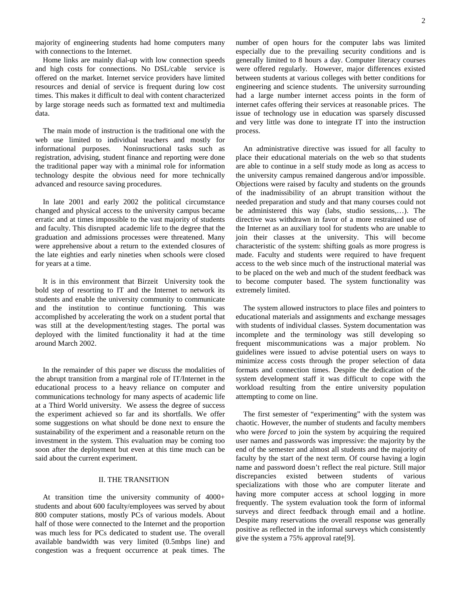majority of engineering students had home computers many with connections to the Internet.

Home links are mainly dial-up with low connection speeds and high costs for connections. No DSL/cable service is offered on the market. Internet service providers have limited resources and denial of service is frequent during low cost times. This makes it difficult to deal with content characterized by large storage needs such as formatted text and multimedia data.

The main mode of instruction is the traditional one with the web use limited to individual teachers and mostly for informational purposes. Noninsructional tasks such as registration, advising, student finance and reporting were done the traditional paper way with a minimal role for information technology despite the obvious need for more technically advanced and resource saving procedures.

In late 2001 and early 2002 the political circumstance changed and physical access to the university campus became erratic and at times impossible to the vast majority of students and faculty. This disrupted academic life to the degree that the graduation and admissions processes were threatened. Many were apprehensive about a return to the extended closures of the late eighties and early nineties when schools were closed for years at a time.

It is in this environment that Birzeit University took the bold step of resorting to IT and the Internet to network its students and enable the university community to communicate and the institution to continue functioning. This was accomplished by accelerating the work on a student portal that was still at the development/testing stages. The portal was deployed with the limited functionality it had at the time around March 2002.

In the remainder of this paper we discuss the modalities of the abrupt transition from a marginal role of IT/Internet in the educational process to a heavy reliance on computer and communications technology for many aspects of academic life at a Third World university. We assess the degree of success the experiment achieved so far and its shortfalls. We offer some suggestions on what should be done next to ensure the sustainability of the experiment and a reasonable return on the investment in the system. This evaluation may be coming too soon after the deployment but even at this time much can be said about the current experiment.

# II. THE TRANSITION

At transition time the university community of 4000+ students and about 600 faculty/employees was served by about 800 computer stations, mostly PCs of various models. About half of those were connected to the Internet and the proportion was much less for PCs dedicated to student use. The overall available bandwidth was very limited (0.5mbps line) and congestion was a frequent occurrence at peak times. The

number of open hours for the computer labs was limited especially due to the prevailing security conditions and is generally limited to 8 hours a day. Computer literacy courses were offered regularly. However, major differences existed between students at various colleges with better conditions for engineering and science students. The university surrounding had a large number internet access points in the form of internet cafes offering their services at reasonable prices. The issue of technology use in education was sparsely discussed and very little was done to integrate IT into the instruction process.

An administrative directive was issued for all faculty to place their educational materials on the web so that students are able to continue in a self study mode as long as access to the university campus remained dangerous and/or impossible. Objections were raised by faculty and students on the grounds of the inadmissibility of an abrupt transition without the needed preparation and study and that many courses could not be administered this way (labs, studio sessions,…). The directive was withdrawn in favor of a more restrained use of the Internet as an auxiliary tool for students who are unable to join their classes at the university. This will become characteristic of the system: shifting goals as more progress is made. Faculty and students were required to have frequent access to the web since much of the instructional material was to be placed on the web and much of the student feedback was to become computer based. The system functionality was extremely limited.

The system allowed instructors to place files and pointers to educational materials and assignments and exchange messages with students of individual classes. System documentation was incomplete and the terminology was still developing so frequent miscommunications was a major problem. No guidelines were issued to advise potential users on ways to minimize access costs through the proper selection of data formats and connection times. Despite the dedication of the system development staff it was difficult to cope with the workload resulting from the entire university population attempting to come on line.

The first semester of "experimenting" with the system was chaotic. However, the number of students and faculty members who were *forced* to join the system by acquiring the required user names and passwords was impressive: the majority by the end of the semester and almost all students and the majority of faculty by the start of the next term. Of course having a login name and password doesn't reflect the real picture. Still major discrepancies existed between students of various specializations with those who are computer literate and having more computer access at school logging in more frequently. The system evaluation took the form of informal surveys and direct feedback through email and a hotline. Despite many reservations the overall response was generally positive as reflected in the informal surveys which consistently give the system a 75% approval rate[9].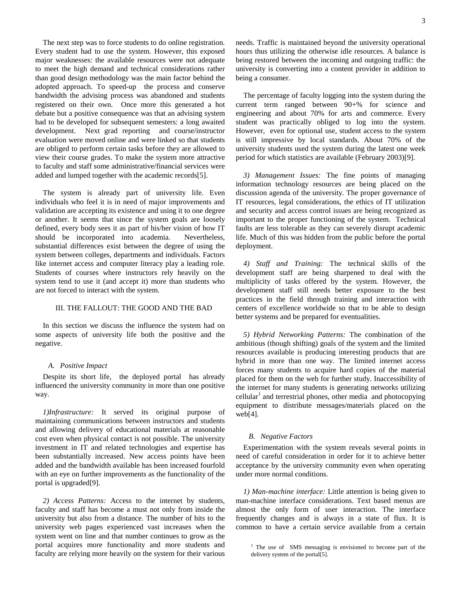The next step was to force students to do online registration. Every student had to use the system. However, this exposed major weaknesses: the available resources were not adequate to meet the high demand and technical considerations rather than good design methodology was the main factor behind the adopted approach. To speed-up the process and conserve bandwidth the advising process was abandoned and students registered on their own. Once more this generated a hot debate but a positive consequence was that an advising system had to be developed for subsequent semesters: a long awaited development. Next grad reporting and course/instructor evaluation were moved online and were linked so that students are obliged to perform certain tasks before they are allowed to view their course grades. To make the system more attractive to faculty and staff some administrative/financial services were added and lumped together with the academic records[5].

The system is already part of university life. Even individuals who feel it is in need of major improvements and validation are accepting its existence and using it to one degree or another. It seems that since the system goals are loosely defined, every body sees it as part of his/her vision of how IT should be incorporated into academia. Nevertheless, substantial differences exist between the degree of using the system between colleges, departments and individuals. Factors like internet access and computer literacy play a leading role. Students of courses where instructors rely heavily on the system tend to use it (and accept it) more than students who are not forced to interact with the system.

## III. THE FALLOUT: THE GOOD AND THE BAD

In this section we discuss the influence the system had on some aspects of university life both the positive and the negative.

#### *A. Positive Impact*

Despite its short life, the deployed portal has already influenced the university community in more than one positive way.

*1)Infrastructure:* It served its original purpose of maintaining communications between instructors and students and allowing delivery of educational materials at reasonable cost even when physical contact is not possible. The university investment in IT and related technologies and expertise has been substantially increased. New access points have been added and the bandwidth available has been increased fourfold with an eye on further improvements as the functionality of the portal is upgraded[9].

*2) Access Patterns:* Access to the internet by students, faculty and staff has become a must not only from inside the university but also from a distance. The number of hits to the university web pages experienced vast increases when the system went on line and that number continues to grow as the portal acquires more functionality and more students and faculty are relying more heavily on the system for their various needs. Traffic is maintained beyond the university operational hours thus utilizing the otherwise idle resources. A balance is being restored between the incoming and outgoing traffic: the university is converting into a content provider in addition to being a consumer.

The percentage of faculty logging into the system during the current term ranged between 90+% for science and engineering and about 70% for arts and commerce. Every student was practically obliged to log into the system. However, even for optional use, student access to the system is still impressive by local standards. About 70% of the university students used the system during the latest one week period for which statistics are available (February 2003)[9].

*3) Management Issues:* The fine points of managing information technology resources are being placed on the discussion agenda of the university. The proper governance of IT resources, legal considerations, the ethics of IT utilization and security and access control issues are being recognized as important to the proper functioning of the system. Technical faults are less tolerable as they can severely disrupt academic life. Much of this was hidden from the public before the portal deployment.

*4) Staff and Training:* The technical skills of the development staff are being sharpened to deal with the multiplicity of tasks offered by the system. However, the development staff still needs better exposure to the best practices in the field through training and interaction with centers of excellence worldwide so that to be able to design better systems and be prepared for eventualities.

*5) Hybrid Networking Patterns:* The combination of the ambitious (though shifting) goals of the system and the limited resources available is producing interesting products that are hybrid in more than one way. The limited internet access forces many students to acquire hard copies of the material placed for them on the web for further study. Inaccessibility of the internet for many students is generating networks utilizing cellular<sup>1</sup> and terrestrial phones, other media and photocopying equipment to distribute messages/materials placed on the web[4].

#### *B. Negative Factors*

Experimentation with the system reveals several points in need of careful consideration in order for it to achieve better acceptance by the university community even when operating under more normal conditions.

*1) Man-machine interface:* Little attention is being given to man-machine interface considerations. Text based menus are almost the only form of user interaction. The interface frequently changes and is always in a state of flux. It is common to have a certain service available from a certain

<sup>&</sup>lt;sup>1</sup> The use of SMS messaging is envisioned to become part of the delivery system of the portal[5].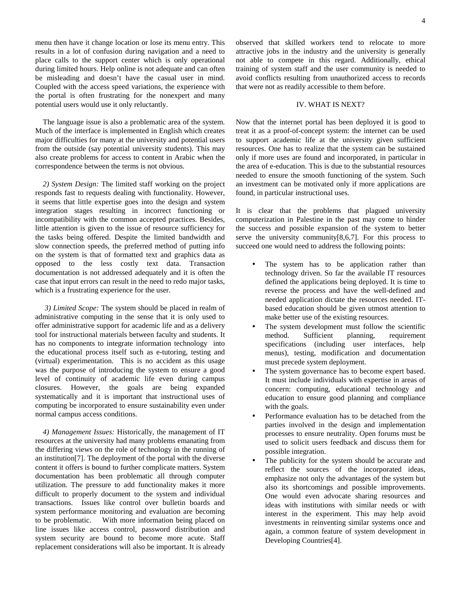menu then have it change location or lose its menu entry. This results in a lot of confusion during navigation and a need to place calls to the support center which is only operational during limited hours. Help online is not adequate and can often be misleading and doesn't have the casual user in mind. Coupled with the access speed variations, the experience with the portal is often frustrating for the nonexpert and many potential users would use it only reluctantly.

The language issue is also a problematic area of the system. Much of the interface is implemented in English which creates major difficulties for many at the university and potential users from the outside (say potential university students). This may also create problems for access to content in Arabic when the correspondence between the terms is not obvious.

*2) System Design:* The limited staff working on the project responds fast to requests dealing with functionality. However, it seems that little expertise goes into the design and system integration stages resulting in incorrect functioning or incompatibility with the common accepted practices. Besides, little attention is given to the issue of resource sufficiency for the tasks being offered. Despite the limited bandwidth and slow connection speeds, the preferred method of putting info on the system is that of formatted text and graphics data as opposed to the less costly text data. Transaction documentation is not addressed adequately and it is often the case that input errors can result in the need to redo major tasks, which is a frustrating experience for the user.

*3) Limited Scope:* The system should be placed in realm of administrative computing in the sense that it is only used to offer administrative support for academic life and as a delivery tool for instructional materials between faculty and students. It has no components to integrate information technology into the educational process itself such as e-tutoring, testing and (virtual) experimentation. This is no accident as this usage was the purpose of introducing the system to ensure a good level of continuity of academic life even during campus closures. However, the goals are being expanded systematically and it is important that instructional uses of computing be incorporated to ensure sustainability even under normal campus access conditions.

*4) Management Issues:* Historically, the management of IT resources at the university had many problems emanating from the differing views on the role of technology in the running of an institution[7]. The deployment of the portal with the diverse content it offers is bound to further complicate matters. System documentation has been problematic all through computer utilization. The pressure to add functionality makes it more difficult to properly document to the system and individual transactions. Issues like control over bulletin boards and system performance monitoring and evaluation are becoming to be problematic. With more information being placed on line issues like access control, password distribution and system security are bound to become more acute. Staff replacement considerations will also be important. It is already

observed that skilled workers tend to relocate to more attractive jobs in the industry and the university is generally not able to compete in this regard. Additionally, ethical training of system staff and the user community is needed to avoid conflicts resulting from unauthorized access to records that were not as readily accessible to them before.

# IV. WHAT IS NEXT?

Now that the internet portal has been deployed it is good to treat it as a proof-of-concept system: the internet can be used to support academic life at the university given sufficient resources. One has to realize that the system can be sustained only if more uses are found and incorporated, in particular in the area of e-education. This is due to the substantial resources needed to ensure the smooth functioning of the system. Such an investment can be motivated only if more applications are found, in particular instructional uses.

It is clear that the problems that plagued university computerization in Palestine in the past may come to hinder the success and possible expansion of the system to better serve the university community[8,6,7]. For this process to succeed one would need to address the following points:

- The system has to be application rather than technology driven. So far the available IT resources defined the applications being deployed. It is time to reverse the process and have the well-defined and needed application dictate the resources needed. ITbased education should be given utmost attention to make better use of the existing resources.
- The system development must follow the scientific method. Sufficient planning, requirement specifications (including user interfaces, help menus), testing, modification and documentation must precede system deployment.
- The system governance has to become expert based. It must include individuals with expertise in areas of concern: computing, educational technology and education to ensure good planning and compliance with the goals.
- Performance evaluation has to be detached from the parties involved in the design and implementation processes to ensure neutrality. Open forums must be used to solicit users feedback and discuss them for possible integration.
- The publicity for the system should be accurate and reflect the sources of the incorporated ideas, emphasize not only the advantages of the system but also its shortcomings and possible improvements. One would even advocate sharing resources and ideas with institutions with similar needs or with interest in the experiment. This may help avoid investments in reinventing similar systems once and again, a common feature of system development in Developing Countries[4].